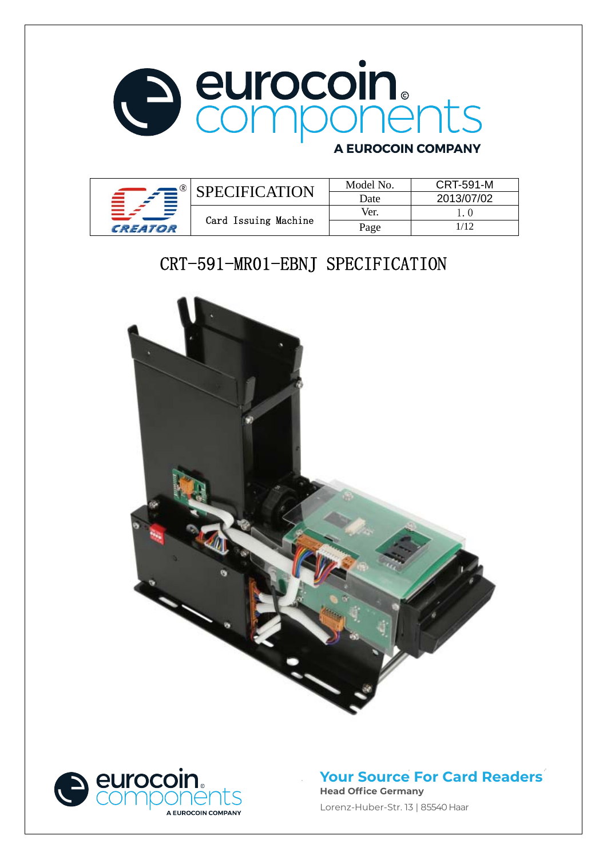

### **A EUROCOIN COMPANY**

|         | PECIFICATION         | Model No. | <b>CRT-591-M</b> |
|---------|----------------------|-----------|------------------|
|         |                      | Date      | 2013/07/02       |
|         |                      | Ver.      |                  |
| CREATOR | Card Issuing Machine | Page      |                  |

# CRT-591-MR01-EBNJ SPECIFICATION





### **Your Source For Card Readers Head Office Germany**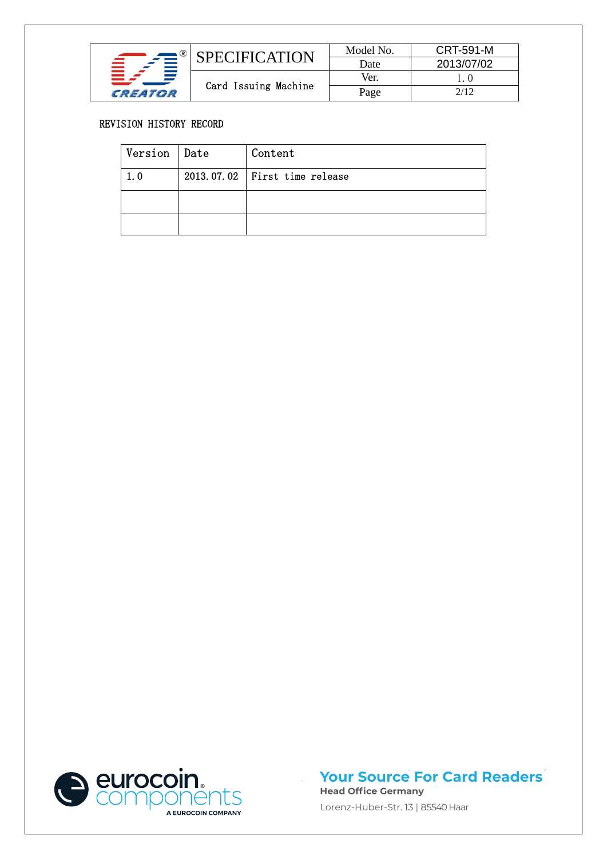|         | PECIFICATION         | Model No.<br>Date | <b>CRT-591-M</b><br>2013/07/02 |
|---------|----------------------|-------------------|--------------------------------|
|         |                      | Ver.              |                                |
| CREATOR | Card Issuing Machine |                   | 2/12                           |

#### REVISION HISTORY RECORD

| Version   Date | Content                         |
|----------------|---------------------------------|
| 1.0            | $2013.07.02$ First time release |
|                |                                 |
|                |                                 |



#### **Your Source For Card Readers Head Office Germany**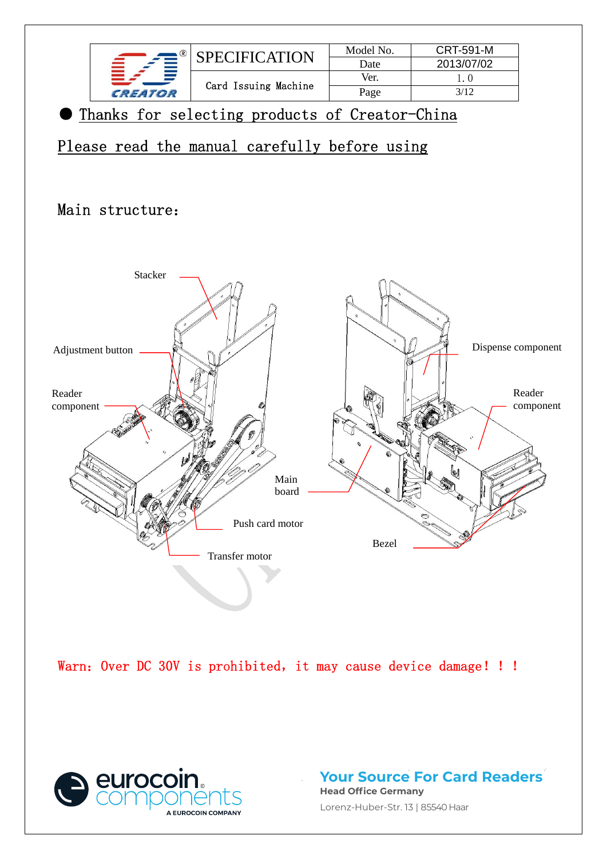

### Main structure:



Warn: Over DC 30V is prohibited, it may cause device damage! !!



**Your Source For Card Readers Head Office Germany** Lorenz-Huber-Str. 13 | 85540 Haar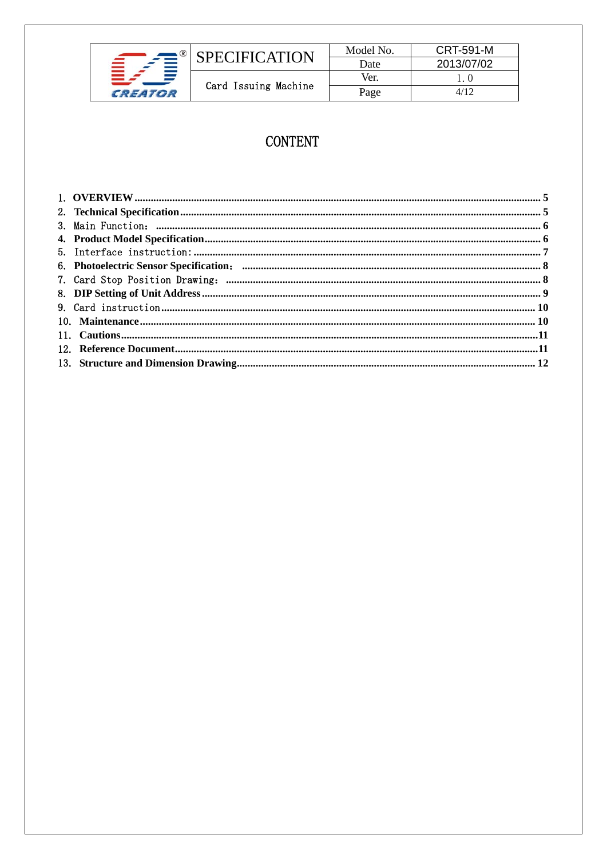

## **CONTENT**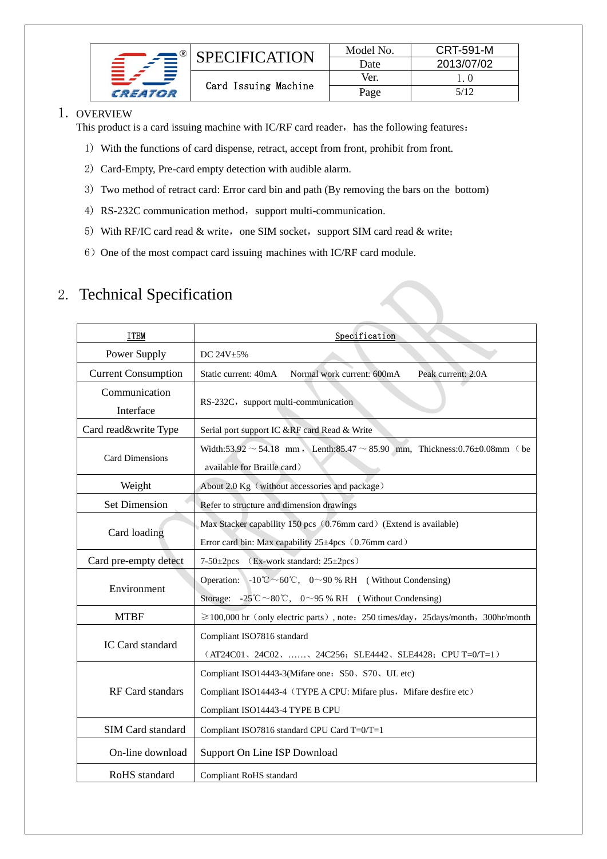|         | <b>SPECIFICATION</b> | Model No. | <b>CRT-591-M</b> |
|---------|----------------------|-----------|------------------|
|         |                      | Date      | 2013/07/02       |
|         |                      | Ver.      |                  |
| CREATOR | Card Issuing Machine | Page      | 5/12             |

#### 1. OVERVIEW

This product is a card issuing machine with IC/RF card reader, has the following features:

- 1) With the functions of card dispense, retract, accept from front, prohibit from front.
- 2) Card-Empty, Pre-card empty detection with audible alarm.
- 3) Two method of retract card: Error card bin and path (By removing the bars on the bottom)
- 4) RS-232C communication method, support multi-communication.
- 5) With RF/IC card read  $&$  write, one SIM socket, support SIM card read  $&$  write;
- 6) One of the most compact card issuing machines with IC/RF card module.

### 2. Technical Specification

| <b>ITEM</b>                | Specification                                                                                                                                                                               |  |  |  |  |
|----------------------------|---------------------------------------------------------------------------------------------------------------------------------------------------------------------------------------------|--|--|--|--|
| Power Supply               | DC 24V±5%                                                                                                                                                                                   |  |  |  |  |
| <b>Current Consumption</b> | Static current: 40mA<br>Normal work current: 600mA<br>Peak current: 2.0A                                                                                                                    |  |  |  |  |
| Communication<br>Interface | RS-232C, support multi-communication                                                                                                                                                        |  |  |  |  |
| Card read&write Type       | Serial port support IC &RF card Read & Write                                                                                                                                                |  |  |  |  |
| <b>Card Dimensions</b>     | Width:53.92 $\sim$ 54.18 mm, Lenth:85.47 $\sim$ 85.90 mm, Thickness:0.76±0.08mm (be<br>available for Braille card)                                                                          |  |  |  |  |
| Weight                     | About 2.0 Kg (without accessories and package)                                                                                                                                              |  |  |  |  |
| <b>Set Dimension</b>       | Refer to structure and dimension drawings                                                                                                                                                   |  |  |  |  |
| Card loading               | Max Stacker capability 150 pcs (0.76mm card) (Extend is available)<br>Error card bin: Max capability 25±4pcs (0.76mm card)                                                                  |  |  |  |  |
| Card pre-empty detect      | $7-50\pm2pcs$<br>(Ex-work standard: 25±2pcs)                                                                                                                                                |  |  |  |  |
| Environment                | Operation: $-10^{\circ}\text{C} \sim 60^{\circ}\text{C}$ , 0~90 % RH (Without Condensing)<br>Storage: $-25^{\circ}\text{C} \sim 80^{\circ}\text{C}$ , $0 \sim 95$ % RH (Without Condensing) |  |  |  |  |
| <b>MTBF</b>                | $\geq 100,000$ hr (only electric parts), note: 250 times/day, 25days/month, 300hr/month                                                                                                     |  |  |  |  |
| IC Card standard           | Compliant ISO7816 standard<br>$(AT24C01, 24C02, \ldots, 24C256; SLE4442, SLE4428; CPU T=0/T=1)$                                                                                             |  |  |  |  |
| <b>RF</b> Card standars    | Compliant ISO14443-3(Mifare one: S50, S70, UL etc)<br>Compliant ISO14443-4 (TYPE A CPU: Mifare plus, Mifare desfire etc)<br>Compliant ISO14443-4 TYPE B CPU                                 |  |  |  |  |
| SIM Card standard          | Compliant ISO7816 standard CPU Card T=0/T=1                                                                                                                                                 |  |  |  |  |
| On-line download           | Support On Line ISP Download                                                                                                                                                                |  |  |  |  |
| RoHS standard              | Compliant RoHS standard                                                                                                                                                                     |  |  |  |  |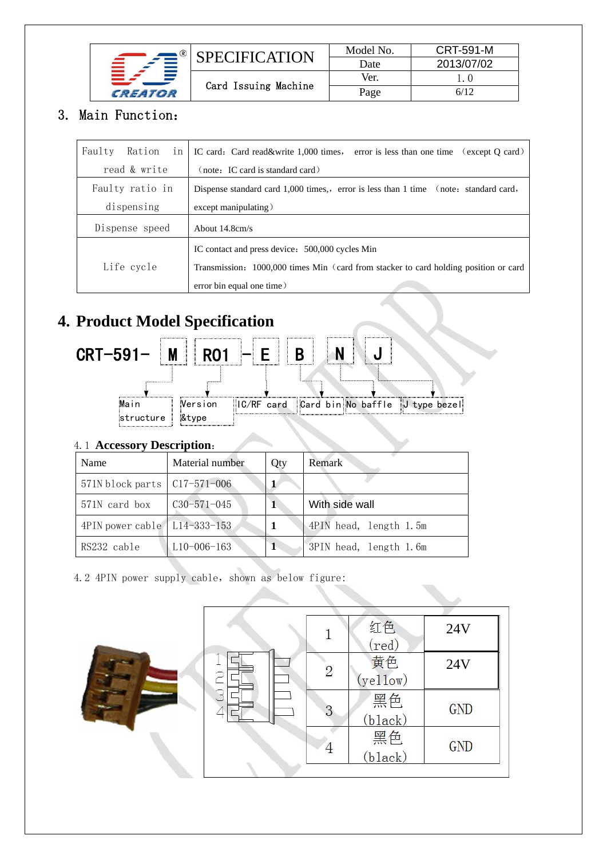|         | SPECIFICATION        | Model No. | <b>CRT-591-M</b> |
|---------|----------------------|-----------|------------------|
|         |                      | Date      | 2013/07/02       |
|         |                      | Ver.      |                  |
| CREATOR | Card Issuing Machine | Page      | 6/12             |

### 3. Main Function:

| Faulty<br>Ration<br>in                                                                             | IC card: Card read&write 1,000 times, error is less than one time (except Q card)   |
|----------------------------------------------------------------------------------------------------|-------------------------------------------------------------------------------------|
| read & write                                                                                       | (note: IC card is standard card)                                                    |
| Faulty ratio in                                                                                    | Dispense standard card 1,000 times, error is less than 1 time (note: standard card, |
| dispensing                                                                                         | $except$ manipulating)                                                              |
| Dispense speed                                                                                     | About $14.8 \text{cm/s}$                                                            |
|                                                                                                    | IC contact and press device: 500,000 cycles Min                                     |
| Life cycle<br>Transmission: 1000,000 times Min (card from stacker to card holding position or card |                                                                                     |
|                                                                                                    | error bin equal one time)                                                           |

# **4. Product Model Specification**



#### 4.1 **Accessory Description**:

| Name                                 | Material number   | Qty | Remark                 |
|--------------------------------------|-------------------|-----|------------------------|
| 571N block parts $\vert$ C17-571-006 |                   | 1   |                        |
| 571N card box                        | $C30 - 571 - 045$ | 1   | With side wall         |
| 4PIN power cable L14-333-153         |                   |     | 4PIN head, length 1.5m |
| RS232 cable                          | $L10-006-163$     |     | 3PIN head, length 1.6m |

4.2 4PIN power supply cable, shown as below figure:

|   |                | 红色<br>(red)    | 24V        |
|---|----------------|----------------|------------|
| Ξ | $\overline{2}$ | 黄色<br>(yel1ow) | 24V        |
| 3 | 3              | 黑色<br>(black)  | <b>GND</b> |
|   |                | 黑色<br>(black)  | GND        |
|   |                |                |            |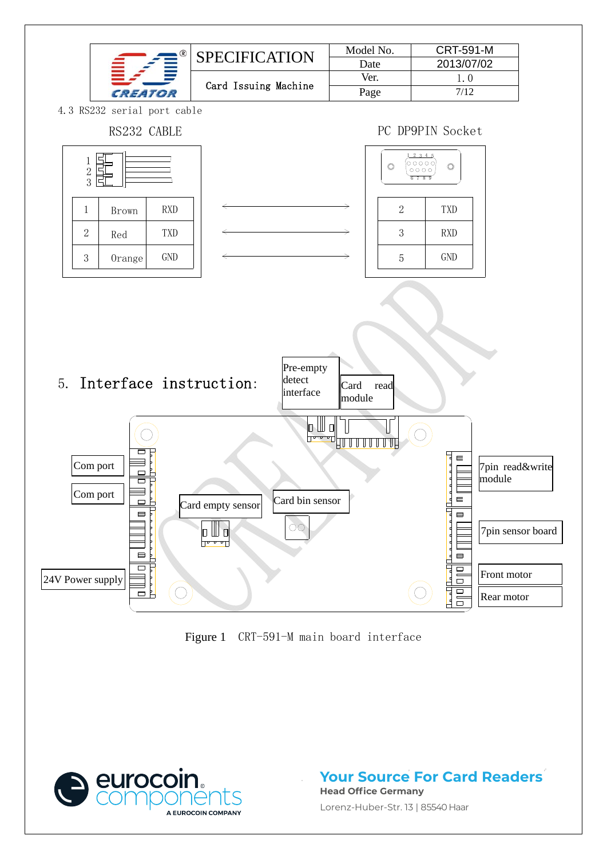

Figure 1 CRT-591-M main board interface



**Your Source For Card Readers Head Office Germany**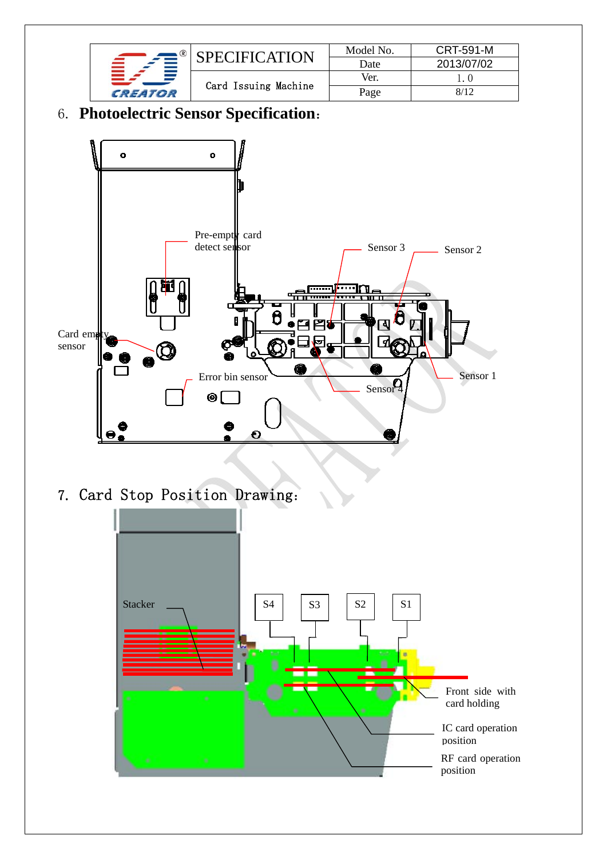

# 6. **Photoelectric Sensor Specification**:



7. Card Stop Position Drawing:

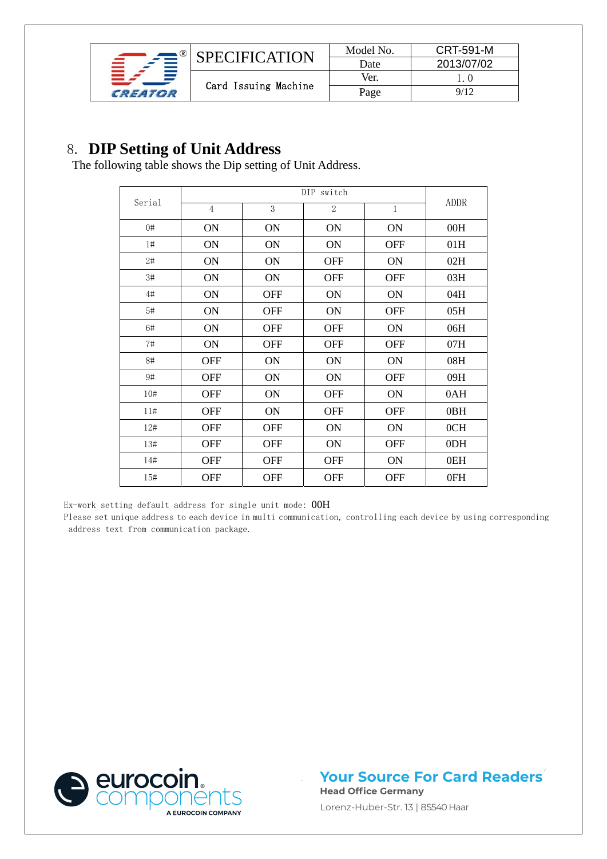

# 8. **DIP Setting of Unit Address** The following table shows the Dip setting of Unit Address.

|        |                |            | DIP switch       |              |             |
|--------|----------------|------------|------------------|--------------|-------------|
| Serial | $\overline{4}$ | 3          | $\boldsymbol{2}$ | $\mathbf{1}$ | <b>ADDR</b> |
| 0#     | ON             | ON         | ON               | <b>ON</b>    | 00H         |
| $1\#$  | ON             | ON         | ON               | <b>OFF</b>   | 01H         |
| 2#     | ON             | ON         | <b>OFF</b>       | ON           | 02H         |
| 3#     | ON             | ON         | <b>OFF</b>       | <b>OFF</b>   | 03H         |
| 4#     | ON             | <b>OFF</b> | ON               | ON           | 04H         |
| 5#     | ON             | <b>OFF</b> | ON               | <b>OFF</b>   | 05H         |
| 6#     | ON             | <b>OFF</b> | <b>OFF</b>       | ON           | 06H         |
| 7#     | ON             | <b>OFF</b> | <b>OFF</b>       | <b>OFF</b>   | 07H         |
| 8#     | <b>OFF</b>     | ON         | ON               | ON           | 08H         |
| 9#     | <b>OFF</b>     | ON         | ON               | <b>OFF</b>   | 09H         |
| 10#    | <b>OFF</b>     | ON         | <b>OFF</b>       | ON           | 0AH         |
| 11#    | <b>OFF</b>     | ON         | <b>OFF</b>       | <b>OFF</b>   | 0BH         |
| 12#    | <b>OFF</b>     | <b>OFF</b> | ON               | ON           | 0CH         |
| 13#    | <b>OFF</b>     | <b>OFF</b> | ON               | <b>OFF</b>   | 0DH         |
| 14#    | <b>OFF</b>     | <b>OFF</b> | <b>OFF</b>       | ON           | 0EH         |
| 15#    | <b>OFF</b>     | <b>OFF</b> | <b>OFF</b>       | <b>OFF</b>   | 0FH         |

Ex-work setting default address for single unit mode: 00H

Please set unique address to each device in multi communication, controlling each device by using corresponding address text from communication package.



**Your Source For Card Readers Head Office Germany**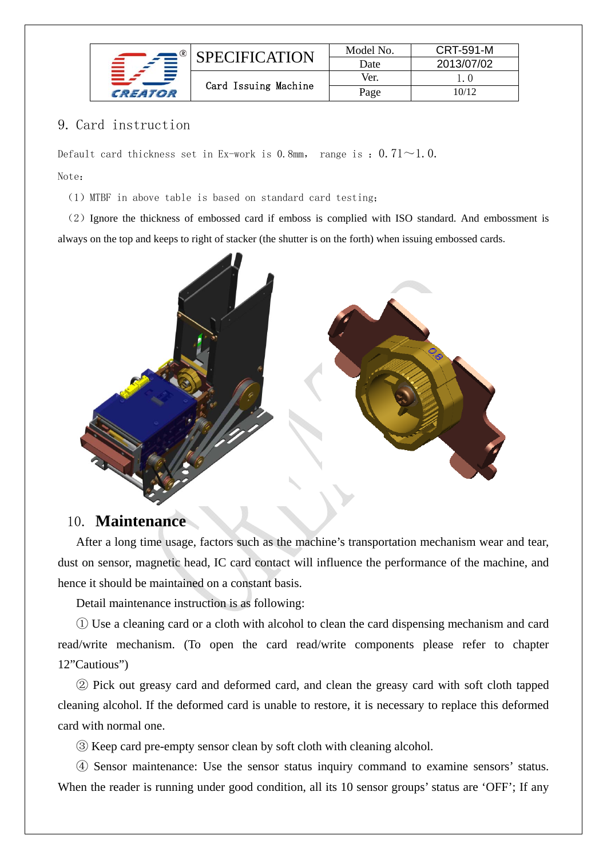|         | PECIFICATION         | Model No.<br>Date | <b>CRT-591-M</b><br>2013/07/02 |
|---------|----------------------|-------------------|--------------------------------|
|         |                      | Ver.              |                                |
| CREATOR | Card Issuing Machine | Page              | 10/12                          |

### 9. Card instruction

Default card thickness set in Ex-work is 0.8mm, range is:  $0.71 \sim 1.0$ . Note:

(1)MTBF in above table is based on standard card testing;

(2)Ignore the thickness of embossed card if emboss is complied with ISO standard. And embossment is always on the top and keeps to right of stacker (the shutter is on the forth) when issuing embossed cards.



### 10. **Maintenance**

After a long time usage, factors such as the machine's transportation mechanism wear and tear, dust on sensor, magnetic head, IC card contact will influence the performance of the machine, and hence it should be maintained on a constant basis.

Detail maintenance instruction is as following:

① Use a cleaning card or a cloth with alcohol to clean the card dispensing mechanism and card read/write mechanism. (To open the card read/write components please refer to chapter 12"Cautious")

② Pick out greasy card and deformed card, and clean the greasy card with soft cloth tapped cleaning alcohol. If the deformed card is unable to restore, it is necessary to replace this deformed card with normal one.

③ Keep card pre-empty sensor clean by soft cloth with cleaning alcohol.

④ Sensor maintenance: Use the sensor status inquiry command to examine sensors' status. When the reader is running under good condition, all its 10 sensor groups' status are 'OFF'; If any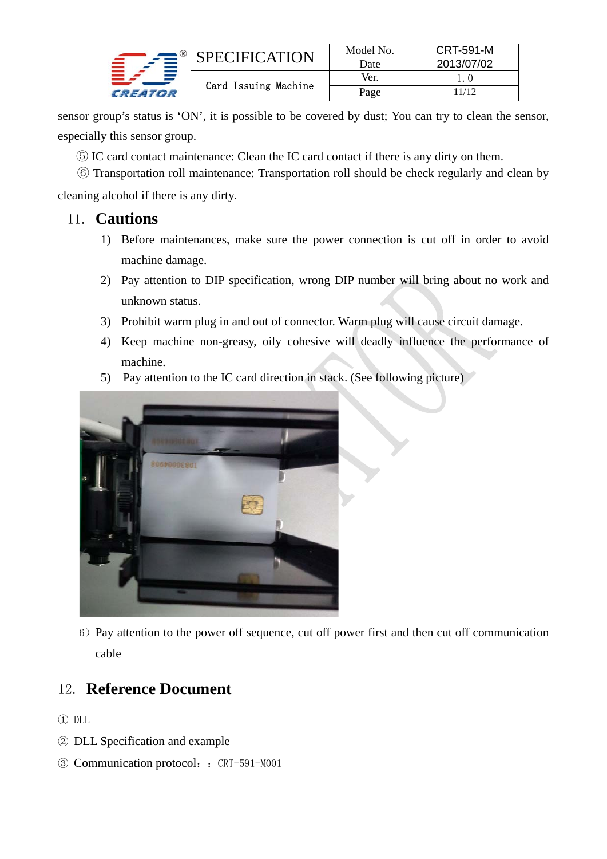|         | SPECIFICATION        | Model No. | <b>CRT-591-M</b> |
|---------|----------------------|-----------|------------------|
|         |                      | Date      | 2013/07/02       |
|         | Card Issuing Machine | Ver.      |                  |
| CREATOR |                      | Page      | 11/12            |

sensor group's status is 'ON', it is possible to be covered by dust; You can try to clean the sensor, especially this sensor group.

- ⑤ IC card contact maintenance: Clean the IC card contact if there is any dirty on them.
- ⑥ Transportation roll maintenance: Transportation roll should be check regularly and clean by

cleaning alcohol if there is any dirty.

### 11. **Cautions**

- 1) Before maintenances, make sure the power connection is cut off in order to avoid machine damage.
- 2) Pay attention to DIP specification, wrong DIP number will bring about no work and unknown status.
- 3) Prohibit warm plug in and out of connector. Warm plug will cause circuit damage.
- 4) Keep machine non-greasy, oily cohesive will deadly influence the performance of machine.
- 5) Pay attention to the IC card direction in stack. (See following picture)



6)Pay attention to the power off sequence, cut off power first and then cut off communication cable

## 12. **Reference Document**

- ① DLL
- ② DLL Specification and example
- ③ Communication protocol::CRT-591-M001